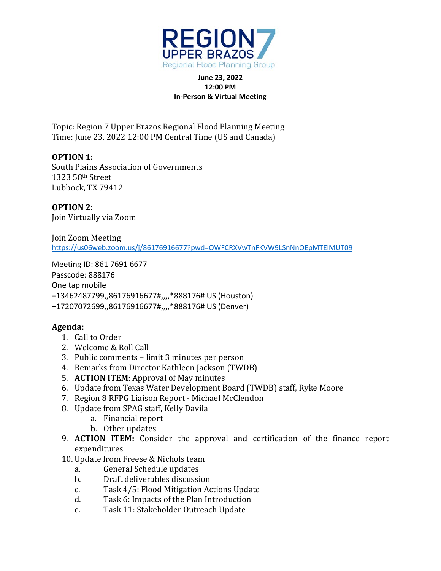

## **June 23, 2022 12:00 PM In-Person & Virtual Meeting**

Topic: Region 7 Upper Brazos Regional Flood Planning Meeting Time: June 23, 2022 12:00 PM Central Time (US and Canada)

**OPTION 1:** South Plains Association of Governments 1323 58th Street Lubbock, TX 79412

**OPTION 2:**  Join Virtually via Zoom

Join Zoom Meeting <https://us06web.zoom.us/j/86176916677?pwd=OWFCRXVwTnFKVW9LSnNnOEpMTElMUT09>

Meeting ID: 861 7691 6677 Passcode: 888176 One tap mobile +13462487799,,86176916677#,,,,\*888176# US (Houston) +17207072699,,86176916677#,,,,\*888176# US (Denver)

## **Agenda:**

- 1. Call to Order
- 2. Welcome & Roll Call
- 3. Public comments limit 3 minutes per person
- 4. Remarks from Director Kathleen Jackson (TWDB)
- 5. **ACTION ITEM**: Approval of May minutes
- 6. Update from Texas Water Development Board (TWDB) staff, Ryke Moore
- 7. Region 8 RFPG Liaison Report Michael McClendon
- 8. Update from SPAG staff, Kelly Davila
	- a. Financial report
	- b. Other updates
- 9. **ACTION ITEM:** Consider the approval and certification of the finance report expenditures
- 10. Update from Freese & Nichols team<br>a. General Schedule updates
	- a. General Schedule updates<br>b. Draft deliverables discussi
	- Draft deliverables discussion
	- c. Task 4/5: Flood Mitigation Actions Update<br>d. Task 6: Impacts of the Plan Introduction
	- Task 6: Impacts of the Plan Introduction
	- e. Task 11: Stakeholder Outreach Update